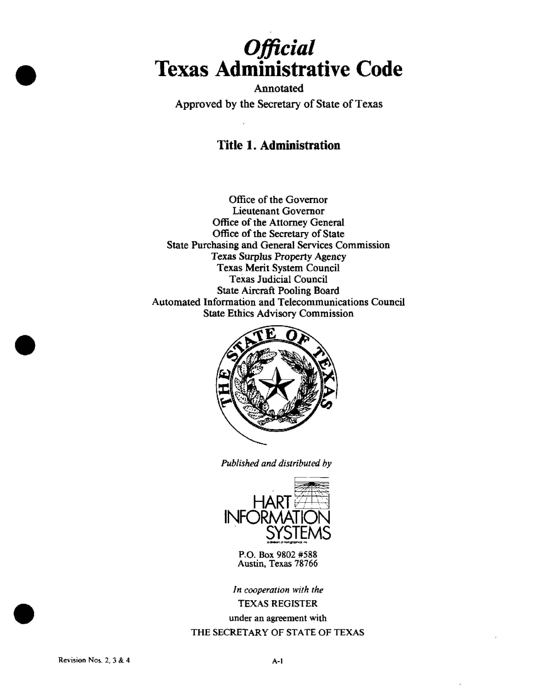# *Oficial*  **Texas Administrative Code**

**Annotated Approved by the Secretary of State of Texas** 

## **Title 1. Administration**

**Office of the Governor Lieutenant Governor Office of the Attorney General Office of the Secretary of State State Purchasing and General Services Commission Texas Surplus Property Agency Texas Merit System Council Texas Judicial Council State Aircraft Pooling Board Automated Information and Telecommunications Council State Ethics Advisory Commission** 



*Published* **and** *distributed by* 



**P.O. Box 9802 #588 Austin, Texas 78766** 

**In coopernrion** *with* **the TEXAS REGISTER under an agreement with THE SECRETARY OF STATE OF TEXAS**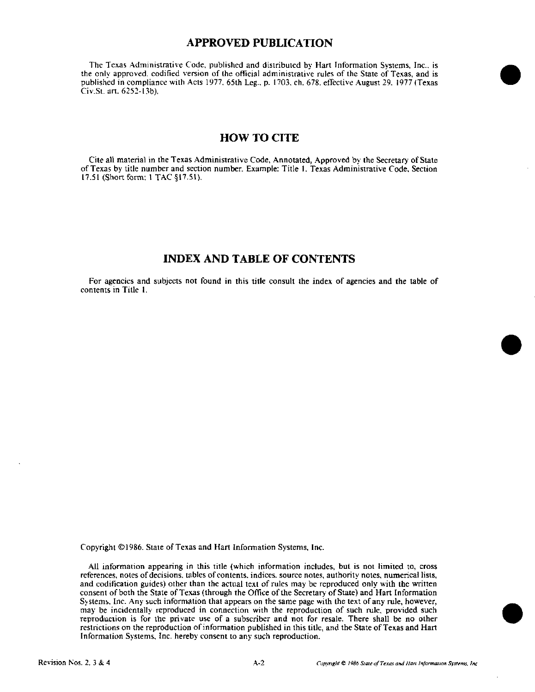#### **APPROVED PUBLICATION**

The Texas Administrative Code, published and distributed by Hart Information Svstems, Inc.. is the only approved. codified version of the official administrative rules of the State of Texas, and is published in compliance with Acts 1977. 65th Leg., p. 1703, ch. 678. effective August 29. 1977 (Texas Civ-St. an. 6252-13b).

#### **HOW TO CITE**

Cite all material in the Texas Administrative Code. Annotated, Approved by the Secretary of State of Texas by dtle number and section number. Example: Title **1.** Texas Administrative Code. Section 17.51 (Short form: 1 TAC §17.51).

### **INDEX AND TABLE OF CONTENTS**

For agencies and subjects not found in this title consult the index of agencies and the table of contents in Title I.

Copyright ©1986. State of Texas and Hart Information Systems, Inc.

All information appearing in this title (which information includes, but is not limited to, cross references, notes of decisions. tables of contents. indices. source notes, authority notes. numerical lists. and codification guides) other than the actual text of rules may be reproduced only with the written consent of both the State of Texas (through the Office of the Secretary of State) and Hart Information Systems, Inc. Any such information that appears on the same page with the text of any rule, however, may be incidentally reproduced in connection with the reproduction of such rule. proxided such reproduction is for the private use of a subscriber and not for resale. There shall be no other restrictions on the reproduction of information published in this title, and the State of Texas and Hart Information Systems, Inc. hereby consent to any such reproduction.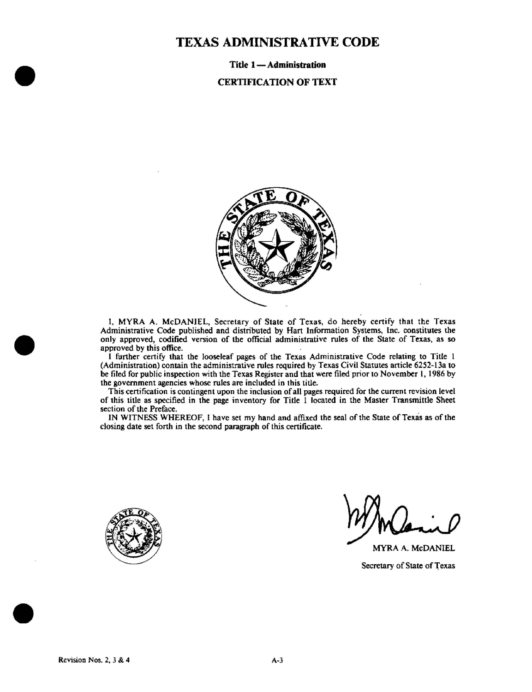## **TEXAS ADMINISTRATIVE CODE**

**Title 1 -Administration CERTIFICATION OF TEXT** 



**1, MYRA A. McDANIEL,** Secretary of State of Texas, do hereby certify that the Texas Administrative Code published and distributed by Hart Information Systems, Inc. constitutes the only approved, codified version of the official administrative rules of the State of Texas, as so approved by this office.

**1** further certify that the looseleaf **pages** of the **Texas** Administrative Code relating to Title I (Administration) contain the administrative rules required by Texas Civil Statutes article 6252-13a to be filed for public inspection with the Texas Register and that **were** filed prior to November **1,** 1986 by the government agencies whose rules are included in this title.

This certification is contingent upon the inclusion of all pages required for the current revision level of this title as specified in the page inventory for Title 1 located in the Master Tmsmittle Sheet section of the Preface.

IN **WITNESS WHEREOF, 1** have set my hand **and affixed** the seal of the State of Texas as of the closing date set forth in the second paragraph of this certificate.



**MYRA .A. McDANIEL Secretary** of State of Texas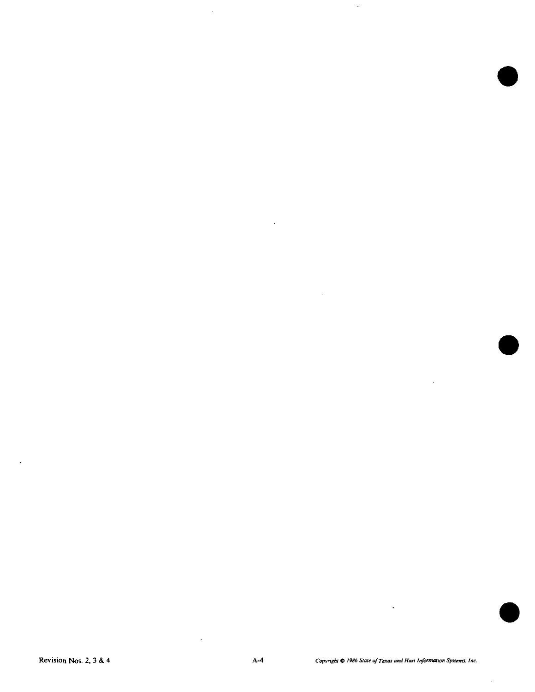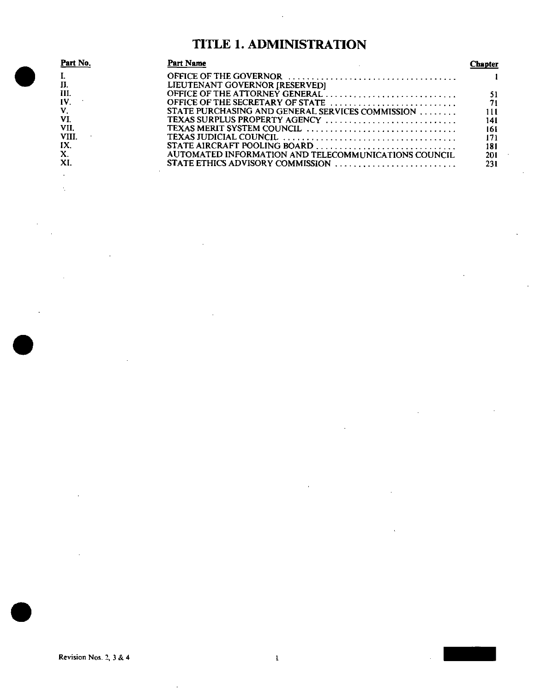# **TITLE 1** . **ADMINISTRATION**

|       | Part Name                                            |     |
|-------|------------------------------------------------------|-----|
|       |                                                      |     |
|       | LIEUTENANT GOVERNOR [RESERVED]                       |     |
| Ш     | OFFICE OF THE ATTORNEY GENERAL                       |     |
| IV.   | OFFICE OF THE SECRETARY OF STATE                     | 71  |
|       | STATE PURCHASING AND GENERAL SERVICES COMMISSION     |     |
| VI.   | TEXAS SURPLUS PROPERTY AGENCY                        | 141 |
| VII.  | TEXAS MERIT SYSTEM COUNCIL                           | 161 |
| VIII. |                                                      | 171 |
| IX.   | STATE AIRCRAFT POOLING BOARD                         | 181 |
|       | AUTOMATED INFORMATION AND TELECOMMUNICATIONS COUNCIL | 201 |
|       | STATE ETHICS ADVISORY COMMISSION                     | 231 |
|       |                                                      |     |